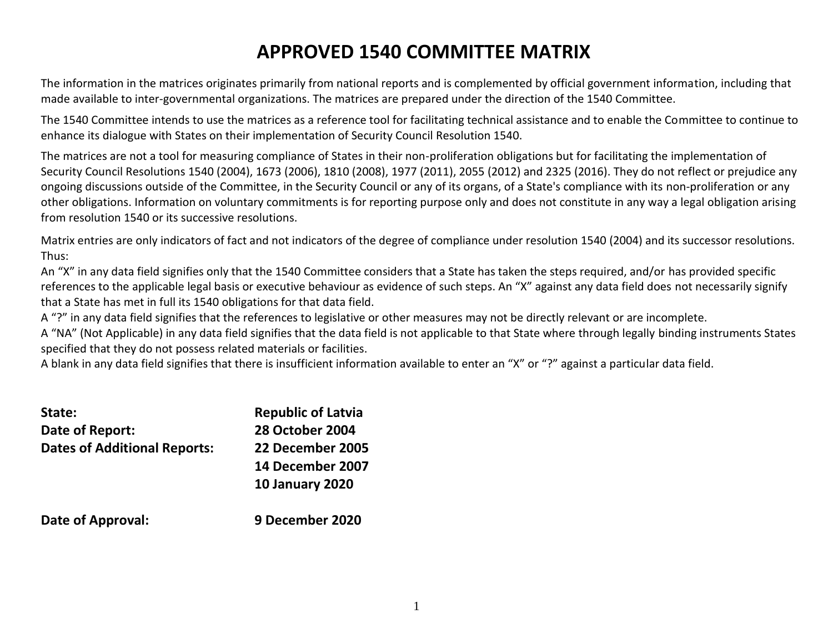# **APPROVED 1540 COMMITTEE MATRIX**

The information in the matrices originates primarily from national reports and is complemented by official government information, including that made available to inter-governmental organizations. The matrices are prepared under the direction of the 1540 Committee.

The 1540 Committee intends to use the matrices as a reference tool for facilitating technical assistance and to enable the Committee to continue to enhance its dialogue with States on their implementation of Security Council Resolution 1540.

The matrices are not a tool for measuring compliance of States in their non-proliferation obligations but for facilitating the implementation of Security Council Resolutions 1540 (2004), 1673 (2006), 1810 (2008), 1977 (2011), 2055 (2012) and 2325 (2016). They do not reflect or prejudice any ongoing discussions outside of the Committee, in the Security Council or any of its organs, of a State's compliance with its non-proliferation or any other obligations. Information on voluntary commitments is for reporting purpose only and does not constitute in any way a legal obligation arising from resolution 1540 or its successive resolutions.

Matrix entries are only indicators of fact and not indicators of the degree of compliance under resolution 1540 (2004) and its successor resolutions. Thus:

An "X" in any data field signifies only that the 1540 Committee considers that a State has taken the steps required, and/or has provided specific references to the applicable legal basis or executive behaviour as evidence of such steps. An "X" against any data field does not necessarily signify that a State has met in full its 1540 obligations for that data field.

A "?" in any data field signifies that the references to legislative or other measures may not be directly relevant or are incomplete.

A "NA" (Not Applicable) in any data field signifies that the data field is not applicable to that State where through legally binding instruments States specified that they do not possess related materials or facilities.

A blank in any data field signifies that there is insufficient information available to enter an "X" or "?" against a particular data field.

| State:                              | <b>Republic of Latvia</b> |
|-------------------------------------|---------------------------|
| Date of Report:                     | <b>28 October 2004</b>    |
| <b>Dates of Additional Reports:</b> | 22 December 2005          |
|                                     | 14 December 2007          |
|                                     | <b>10 January 2020</b>    |
| Date of Approval:                   | 9 December 2020           |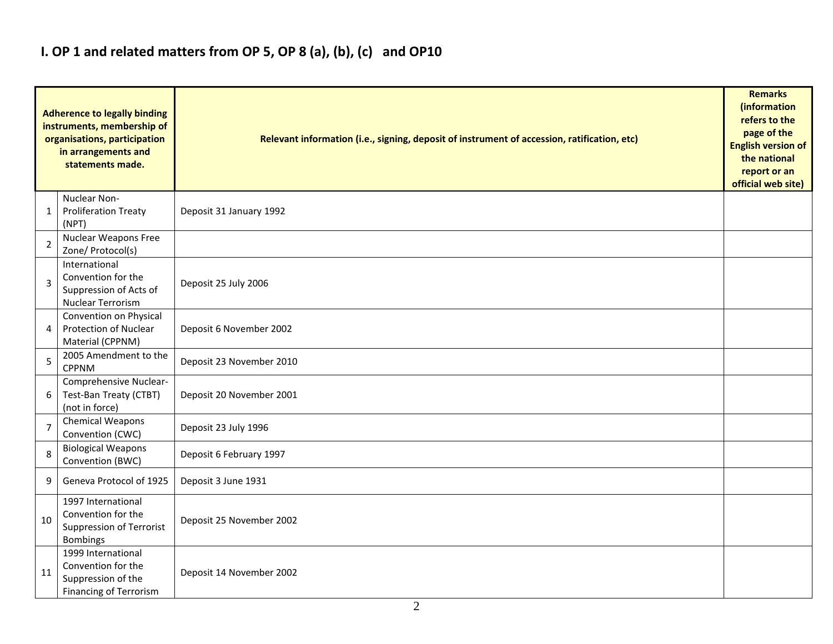## **I. OP 1 and related matters from OP 5, OP 8 (a), (b), (c) and OP10**

|                | <b>Adherence to legally binding</b><br>instruments, membership of<br>organisations, participation<br>in arrangements and<br>statements made. | Relevant information (i.e., signing, deposit of instrument of accession, ratification, etc) |  |  |  |  |  |  |  |  |
|----------------|----------------------------------------------------------------------------------------------------------------------------------------------|---------------------------------------------------------------------------------------------|--|--|--|--|--|--|--|--|
| 1              | Nuclear Non-<br><b>Proliferation Treaty</b><br>(NPT)                                                                                         | Deposit 31 January 1992                                                                     |  |  |  |  |  |  |  |  |
| 2              | <b>Nuclear Weapons Free</b><br>Zone/ Protocol(s)                                                                                             |                                                                                             |  |  |  |  |  |  |  |  |
| 3              | International<br>Convention for the<br>Suppression of Acts of<br>Nuclear Terrorism                                                           | Deposit 25 July 2006                                                                        |  |  |  |  |  |  |  |  |
| 4              | Convention on Physical<br><b>Protection of Nuclear</b><br>Material (CPPNM)                                                                   | Deposit 6 November 2002                                                                     |  |  |  |  |  |  |  |  |
| 5              | 2005 Amendment to the<br><b>CPPNM</b>                                                                                                        | Deposit 23 November 2010                                                                    |  |  |  |  |  |  |  |  |
| 6              | Comprehensive Nuclear-<br>Test-Ban Treaty (CTBT)<br>(not in force)                                                                           | Deposit 20 November 2001                                                                    |  |  |  |  |  |  |  |  |
| $\overline{7}$ | Chemical Weapons<br>Convention (CWC)                                                                                                         | Deposit 23 July 1996                                                                        |  |  |  |  |  |  |  |  |
| 8              | <b>Biological Weapons</b><br>Convention (BWC)                                                                                                | Deposit 6 February 1997                                                                     |  |  |  |  |  |  |  |  |
| 9              | Geneva Protocol of 1925                                                                                                                      | Deposit 3 June 1931                                                                         |  |  |  |  |  |  |  |  |
| 10             | 1997 International<br>Convention for the<br>Suppression of Terrorist<br><b>Bombings</b>                                                      | Deposit 25 November 2002                                                                    |  |  |  |  |  |  |  |  |
| 11             | 1999 International<br>Convention for the<br>Suppression of the<br><b>Financing of Terrorism</b>                                              | Deposit 14 November 2002                                                                    |  |  |  |  |  |  |  |  |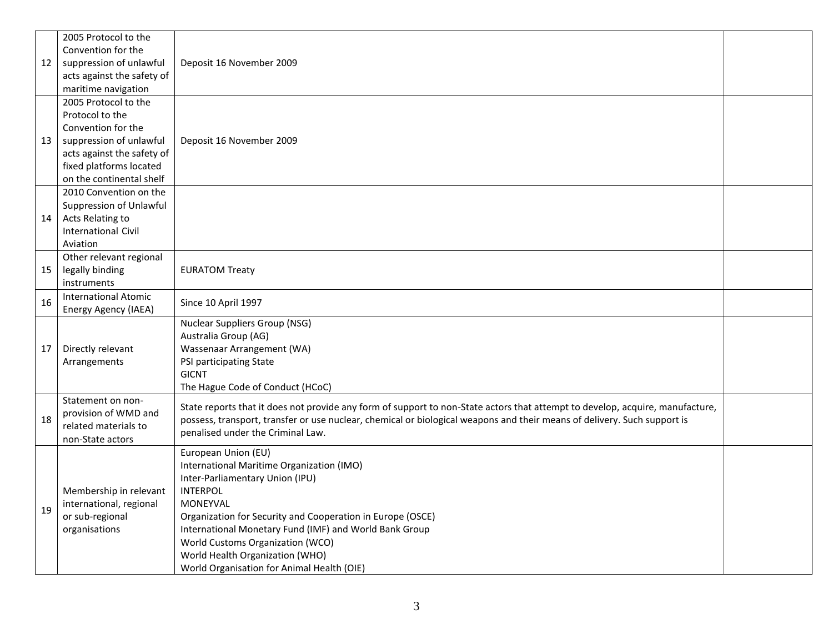|    | 2005 Protocol to the<br>Convention for the |                                                                                                                               |  |  |  |  |  |  |  |  |
|----|--------------------------------------------|-------------------------------------------------------------------------------------------------------------------------------|--|--|--|--|--|--|--|--|
| 12 | suppression of unlawful                    | Deposit 16 November 2009                                                                                                      |  |  |  |  |  |  |  |  |
|    | acts against the safety of                 |                                                                                                                               |  |  |  |  |  |  |  |  |
|    | maritime navigation                        |                                                                                                                               |  |  |  |  |  |  |  |  |
|    | 2005 Protocol to the                       |                                                                                                                               |  |  |  |  |  |  |  |  |
|    | Protocol to the                            |                                                                                                                               |  |  |  |  |  |  |  |  |
|    | Convention for the                         |                                                                                                                               |  |  |  |  |  |  |  |  |
| 13 | suppression of unlawful                    | Deposit 16 November 2009                                                                                                      |  |  |  |  |  |  |  |  |
|    | acts against the safety of                 |                                                                                                                               |  |  |  |  |  |  |  |  |
|    | fixed platforms located                    |                                                                                                                               |  |  |  |  |  |  |  |  |
|    | on the continental shelf                   |                                                                                                                               |  |  |  |  |  |  |  |  |
|    | 2010 Convention on the                     |                                                                                                                               |  |  |  |  |  |  |  |  |
|    | Suppression of Unlawful                    |                                                                                                                               |  |  |  |  |  |  |  |  |
| 14 | Acts Relating to                           |                                                                                                                               |  |  |  |  |  |  |  |  |
|    | <b>International Civil</b>                 |                                                                                                                               |  |  |  |  |  |  |  |  |
|    | Aviation                                   |                                                                                                                               |  |  |  |  |  |  |  |  |
|    | Other relevant regional                    |                                                                                                                               |  |  |  |  |  |  |  |  |
| 15 | legally binding                            | <b>EURATOM Treaty</b>                                                                                                         |  |  |  |  |  |  |  |  |
|    | instruments                                |                                                                                                                               |  |  |  |  |  |  |  |  |
| 16 | <b>International Atomic</b>                | Since 10 April 1997                                                                                                           |  |  |  |  |  |  |  |  |
|    | Energy Agency (IAEA)                       |                                                                                                                               |  |  |  |  |  |  |  |  |
|    |                                            | <b>Nuclear Suppliers Group (NSG)</b>                                                                                          |  |  |  |  |  |  |  |  |
|    |                                            | Australia Group (AG)                                                                                                          |  |  |  |  |  |  |  |  |
| 17 | Directly relevant                          | Wassenaar Arrangement (WA)                                                                                                    |  |  |  |  |  |  |  |  |
|    | Arrangements                               | PSI participating State                                                                                                       |  |  |  |  |  |  |  |  |
|    |                                            | <b>GICNT</b>                                                                                                                  |  |  |  |  |  |  |  |  |
|    |                                            | The Hague Code of Conduct (HCoC)                                                                                              |  |  |  |  |  |  |  |  |
|    | Statement on non-<br>provision of WMD and  | State reports that it does not provide any form of support to non-State actors that attempt to develop, acquire, manufacture, |  |  |  |  |  |  |  |  |
| 18 | related materials to                       | possess, transport, transfer or use nuclear, chemical or biological weapons and their means of delivery. Such support is      |  |  |  |  |  |  |  |  |
|    | non-State actors                           | penalised under the Criminal Law.                                                                                             |  |  |  |  |  |  |  |  |
|    |                                            | European Union (EU)                                                                                                           |  |  |  |  |  |  |  |  |
|    |                                            | International Maritime Organization (IMO)                                                                                     |  |  |  |  |  |  |  |  |
|    |                                            | Inter-Parliamentary Union (IPU)                                                                                               |  |  |  |  |  |  |  |  |
|    | Membership in relevant                     | <b>INTERPOL</b>                                                                                                               |  |  |  |  |  |  |  |  |
|    | international, regional                    | MONEYVAL                                                                                                                      |  |  |  |  |  |  |  |  |
| 19 | or sub-regional                            | Organization for Security and Cooperation in Europe (OSCE)                                                                    |  |  |  |  |  |  |  |  |
|    | organisations                              | International Monetary Fund (IMF) and World Bank Group                                                                        |  |  |  |  |  |  |  |  |
|    |                                            | World Customs Organization (WCO)                                                                                              |  |  |  |  |  |  |  |  |
|    |                                            | World Health Organization (WHO)                                                                                               |  |  |  |  |  |  |  |  |
|    |                                            | World Organisation for Animal Health (OIE)                                                                                    |  |  |  |  |  |  |  |  |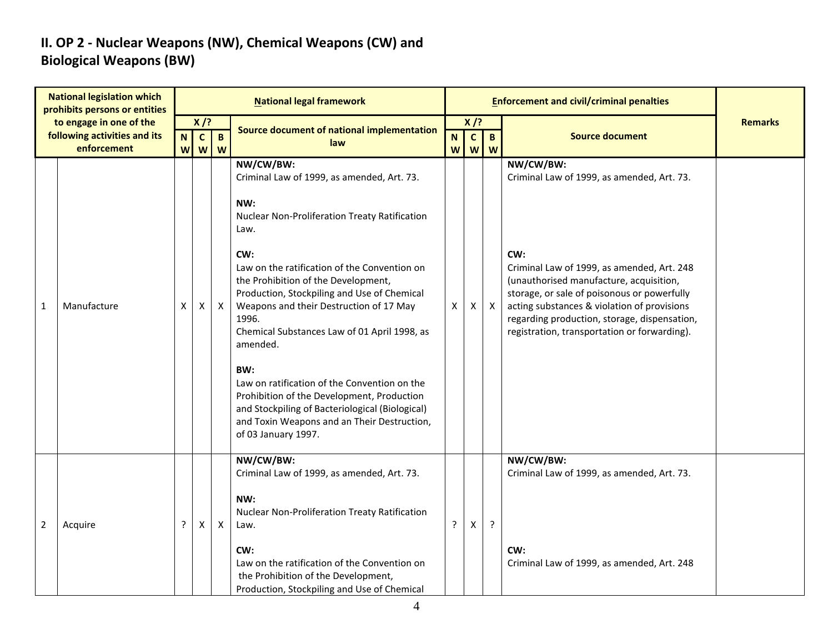### **II. OP 2 - Nuclear Weapons (NW), Chemical Weapons (CW) and Biological Weapons (BW)**

|                | <b>National legislation which</b><br>prohibits persons or entities     |                  |                             |                  | <b>National legal framework</b>                                                                                                                                                                                                                                                                                                                                                                                                                                                                                                                                                                                    |                                                                                    |   |              | <b>Enforcement and civil/criminal penalties</b>                                                                                                                                                                                                                                                                                                       |                |
|----------------|------------------------------------------------------------------------|------------------|-----------------------------|------------------|--------------------------------------------------------------------------------------------------------------------------------------------------------------------------------------------------------------------------------------------------------------------------------------------------------------------------------------------------------------------------------------------------------------------------------------------------------------------------------------------------------------------------------------------------------------------------------------------------------------------|------------------------------------------------------------------------------------|---|--------------|-------------------------------------------------------------------------------------------------------------------------------------------------------------------------------------------------------------------------------------------------------------------------------------------------------------------------------------------------------|----------------|
|                | to engage in one of the<br>following activities and its<br>enforcement | $\mathbf N$<br>W | $X$ /?<br>$\mathbf{C}$<br>W | $\mathbf B$<br>W | Source document of national implementation<br>law                                                                                                                                                                                                                                                                                                                                                                                                                                                                                                                                                                  | $X$ /?<br>$\mathbf{c}$<br>$\mathbf{B}$<br>N<br>W<br>$\boldsymbol{\mathsf{W}}$<br>W |   |              | <b>Source document</b>                                                                                                                                                                                                                                                                                                                                | <b>Remarks</b> |
| 1              | Manufacture                                                            | X                | X                           | $\mathsf{X}$     | NW/CW/BW:<br>Criminal Law of 1999, as amended, Art. 73.<br>NW:<br>Nuclear Non-Proliferation Treaty Ratification<br>Law.<br>CW:<br>Law on the ratification of the Convention on<br>the Prohibition of the Development,<br>Production, Stockpiling and Use of Chemical<br>Weapons and their Destruction of 17 May<br>1996.<br>Chemical Substances Law of 01 April 1998, as<br>amended.<br>BW:<br>Law on ratification of the Convention on the<br>Prohibition of the Development, Production<br>and Stockpiling of Bacteriological (Biological)<br>and Toxin Weapons and an Their Destruction,<br>of 03 January 1997. | X                                                                                  | Χ | $\mathsf{X}$ | NW/CW/BW:<br>Criminal Law of 1999, as amended, Art. 73.<br>CW:<br>Criminal Law of 1999, as amended, Art. 248<br>(unauthorised manufacture, acquisition,<br>storage, or sale of poisonous or powerfully<br>acting substances & violation of provisions<br>regarding production, storage, dispensation,<br>registration, transportation or forwarding). |                |
| $\overline{2}$ | Acquire                                                                | ?                | X                           | Χ                | NW/CW/BW:<br>Criminal Law of 1999, as amended, Art. 73.<br>NW:<br>Nuclear Non-Proliferation Treaty Ratification<br>Law.<br>CW:<br>Law on the ratification of the Convention on<br>the Prohibition of the Development,<br>Production, Stockpiling and Use of Chemical                                                                                                                                                                                                                                                                                                                                               |                                                                                    | х | $\cdot$      | NW/CW/BW:<br>Criminal Law of 1999, as amended, Art. 73.<br>CW:<br>Criminal Law of 1999, as amended, Art. 248                                                                                                                                                                                                                                          |                |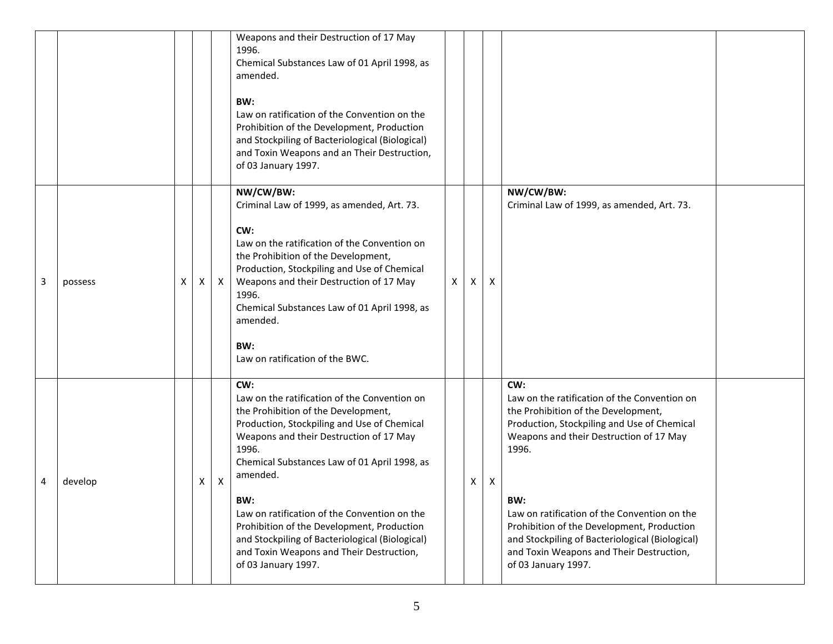|   |         |   |   |              | Weapons and their Destruction of 17 May<br>1996.<br>Chemical Substances Law of 01 April 1998, as<br>amended.<br>BW:<br>Law on ratification of the Convention on the<br>Prohibition of the Development, Production<br>and Stockpiling of Bacteriological (Biological)<br>and Toxin Weapons and an Their Destruction,<br>of 03 January 1997.                                                                                                                                           |              |   |                           |                                                                                                                                                                                                                                                                                                                                                                                                                          |  |
|---|---------|---|---|--------------|--------------------------------------------------------------------------------------------------------------------------------------------------------------------------------------------------------------------------------------------------------------------------------------------------------------------------------------------------------------------------------------------------------------------------------------------------------------------------------------|--------------|---|---------------------------|--------------------------------------------------------------------------------------------------------------------------------------------------------------------------------------------------------------------------------------------------------------------------------------------------------------------------------------------------------------------------------------------------------------------------|--|
| 3 | possess | X | Χ | $\mathsf{X}$ | NW/CW/BW:<br>Criminal Law of 1999, as amended, Art. 73.<br>CW:<br>Law on the ratification of the Convention on<br>the Prohibition of the Development,<br>Production, Stockpiling and Use of Chemical<br>Weapons and their Destruction of 17 May<br>1996.<br>Chemical Substances Law of 01 April 1998, as<br>amended.<br>BW:<br>Law on ratification of the BWC.                                                                                                                       | $\mathsf{X}$ | X | $\boldsymbol{\mathsf{X}}$ | NW/CW/BW:<br>Criminal Law of 1999, as amended, Art. 73.                                                                                                                                                                                                                                                                                                                                                                  |  |
| 4 | develop |   | X | X            | CW:<br>Law on the ratification of the Convention on<br>the Prohibition of the Development,<br>Production, Stockpiling and Use of Chemical<br>Weapons and their Destruction of 17 May<br>1996.<br>Chemical Substances Law of 01 April 1998, as<br>amended.<br>BW:<br>Law on ratification of the Convention on the<br>Prohibition of the Development, Production<br>and Stockpiling of Bacteriological (Biological)<br>and Toxin Weapons and Their Destruction,<br>of 03 January 1997. |              | X | $\boldsymbol{\mathsf{X}}$ | CW:<br>Law on the ratification of the Convention on<br>the Prohibition of the Development,<br>Production, Stockpiling and Use of Chemical<br>Weapons and their Destruction of 17 May<br>1996.<br>BW:<br>Law on ratification of the Convention on the<br>Prohibition of the Development, Production<br>and Stockpiling of Bacteriological (Biological)<br>and Toxin Weapons and Their Destruction,<br>of 03 January 1997. |  |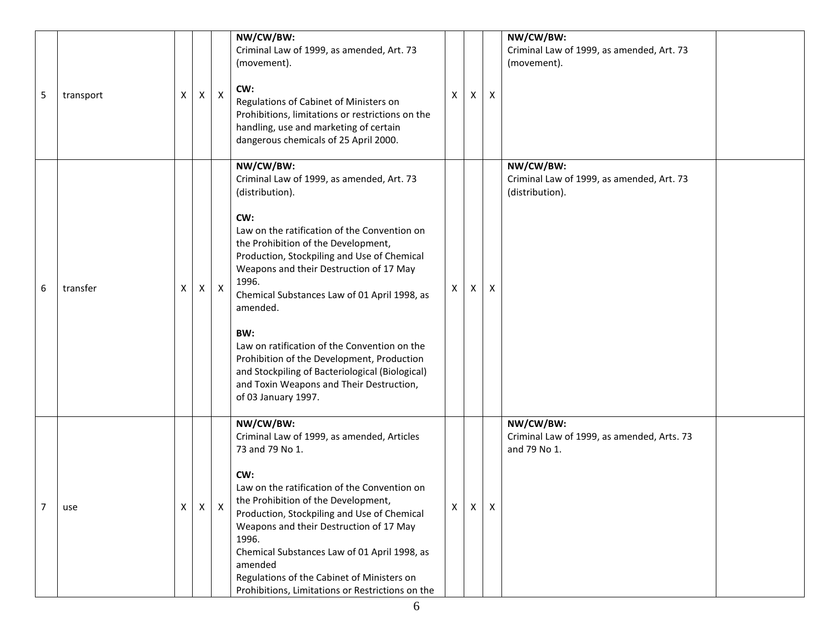|   |           |    |   |              | NW/CW/BW:<br>Criminal Law of 1999, as amended, Art. 73<br>(movement).                                                                                                                                                                                                                                                                                                                                                                                                                                                                                             |   |   |                           | NW/CW/BW:<br>Criminal Law of 1999, as amended, Art. 73<br>(movement).     |
|---|-----------|----|---|--------------|-------------------------------------------------------------------------------------------------------------------------------------------------------------------------------------------------------------------------------------------------------------------------------------------------------------------------------------------------------------------------------------------------------------------------------------------------------------------------------------------------------------------------------------------------------------------|---|---|---------------------------|---------------------------------------------------------------------------|
| 5 | transport | X  | X | $\mathsf{X}$ | CW:<br>Regulations of Cabinet of Ministers on<br>Prohibitions, limitations or restrictions on the<br>handling, use and marketing of certain<br>dangerous chemicals of 25 April 2000.                                                                                                                                                                                                                                                                                                                                                                              | x | X | $\mathsf{x}$              |                                                                           |
| 6 | transfer  | X  | Χ | $\mathsf{X}$ | NW/CW/BW:<br>Criminal Law of 1999, as amended, Art. 73<br>(distribution).<br>CW:<br>Law on the ratification of the Convention on<br>the Prohibition of the Development,<br>Production, Stockpiling and Use of Chemical<br>Weapons and their Destruction of 17 May<br>1996.<br>Chemical Substances Law of 01 April 1998, as<br>amended.<br>BW:<br>Law on ratification of the Convention on the<br>Prohibition of the Development, Production<br>and Stockpiling of Bacteriological (Biological)<br>and Toxin Weapons and Their Destruction,<br>of 03 January 1997. | X | X | $\boldsymbol{\mathsf{X}}$ | NW/CW/BW:<br>Criminal Law of 1999, as amended, Art. 73<br>(distribution). |
|   | use       | X. | X | X            | NW/CW/BW:<br>Criminal Law of 1999, as amended, Articles<br>73 and 79 No 1.<br>CW:<br>Law on the ratification of the Convention on<br>the Prohibition of the Development,<br>Production, Stockpiling and Use of Chemical<br>Weapons and their Destruction of 17 May<br>1996.<br>Chemical Substances Law of 01 April 1998, as<br>amended<br>Regulations of the Cabinet of Ministers on<br>Prohibitions, Limitations or Restrictions on the                                                                                                                          | Χ | X | $\mathsf{X}$              | NW/CW/BW:<br>Criminal Law of 1999, as amended, Arts. 73<br>and 79 No 1.   |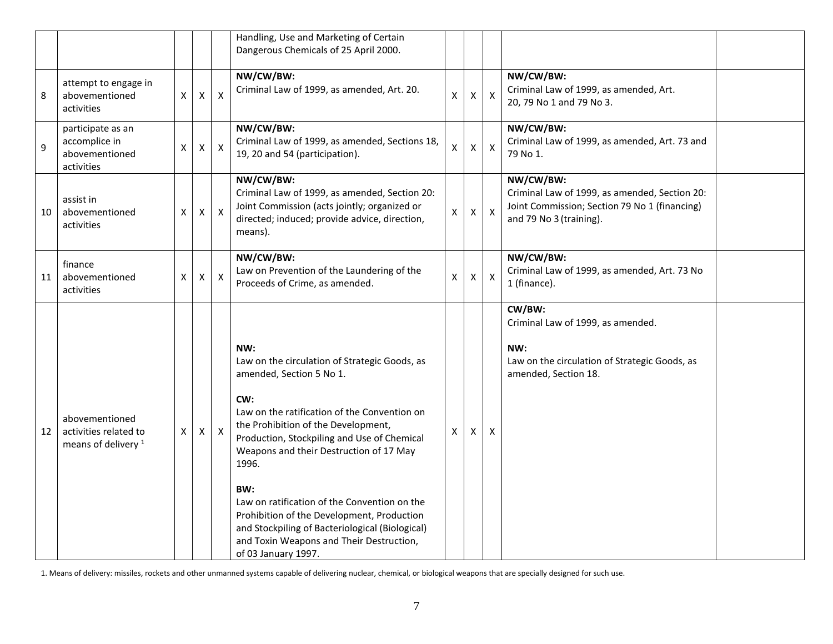|    |                                                                           |   |                    |                  | Handling, Use and Marketing of Certain<br>Dangerous Chemicals of 25 April 2000.                                                                                                                                                                                                                                                                                                                                                                                                                              |                    |                    |                           |                                                                                                                                        |  |
|----|---------------------------------------------------------------------------|---|--------------------|------------------|--------------------------------------------------------------------------------------------------------------------------------------------------------------------------------------------------------------------------------------------------------------------------------------------------------------------------------------------------------------------------------------------------------------------------------------------------------------------------------------------------------------|--------------------|--------------------|---------------------------|----------------------------------------------------------------------------------------------------------------------------------------|--|
| 8  | attempt to engage in<br>abovementioned<br>activities                      | X | $\pmb{\mathsf{X}}$ | $\pmb{\times}$   | NW/CW/BW:<br>Criminal Law of 1999, as amended, Art. 20.                                                                                                                                                                                                                                                                                                                                                                                                                                                      | $\pmb{\mathsf{X}}$ | $\pmb{\mathsf{X}}$ | $\boldsymbol{\mathsf{X}}$ | NW/CW/BW:<br>Criminal Law of 1999, as amended, Art.<br>20, 79 No 1 and 79 No 3.                                                        |  |
| 9  | participate as an<br>accomplice in<br>abovementioned<br>activities        | х | $\pmb{\mathsf{X}}$ | $\mathsf{X}$     | NW/CW/BW:<br>Criminal Law of 1999, as amended, Sections 18,<br>19, 20 and 54 (participation).                                                                                                                                                                                                                                                                                                                                                                                                                | X                  | $\pmb{\mathsf{X}}$ | $\pmb{\mathsf{X}}$        | NW/CW/BW:<br>Criminal Law of 1999, as amended, Art. 73 and<br>79 No 1.                                                                 |  |
| 10 | assist in<br>abovementioned<br>activities                                 | х | $\pmb{\mathsf{X}}$ | $\mathsf{X}$     | NW/CW/BW:<br>Criminal Law of 1999, as amended, Section 20:<br>Joint Commission (acts jointly; organized or<br>directed; induced; provide advice, direction,<br>means).                                                                                                                                                                                                                                                                                                                                       | $\mathsf{X}$       | X                  | $\mathsf{X}$              | NW/CW/BW:<br>Criminal Law of 1999, as amended, Section 20:<br>Joint Commission; Section 79 No 1 (financing)<br>and 79 No 3 (training). |  |
| 11 | finance<br>abovementioned<br>activities                                   | X | X                  | $\mathsf{X}$     | NW/CW/BW:<br>Law on Prevention of the Laundering of the<br>Proceeds of Crime, as amended.                                                                                                                                                                                                                                                                                                                                                                                                                    | $\mathsf{X}$       | X                  | $\mathsf{X}$              | NW/CW/BW:<br>Criminal Law of 1999, as amended, Art. 73 No<br>1 (finance).                                                              |  |
| 12 | abovementioned<br>activities related to<br>means of delivery <sup>1</sup> | X | X                  | $\boldsymbol{X}$ | NW:<br>Law on the circulation of Strategic Goods, as<br>amended, Section 5 No 1.<br>CW:<br>Law on the ratification of the Convention on<br>the Prohibition of the Development,<br>Production, Stockpiling and Use of Chemical<br>Weapons and their Destruction of 17 May<br>1996.<br>BW:<br>Law on ratification of the Convention on the<br>Prohibition of the Development, Production<br>and Stockpiling of Bacteriological (Biological)<br>and Toxin Weapons and Their Destruction,<br>of 03 January 1997. | Χ                  | X                  | X                         | CW/BW:<br>Criminal Law of 1999, as amended.<br>NW:<br>Law on the circulation of Strategic Goods, as<br>amended, Section 18.            |  |

1. Means of delivery: missiles, rockets and other unmanned systems capable of delivering nuclear, chemical, or biological weapons that are specially designed for such use.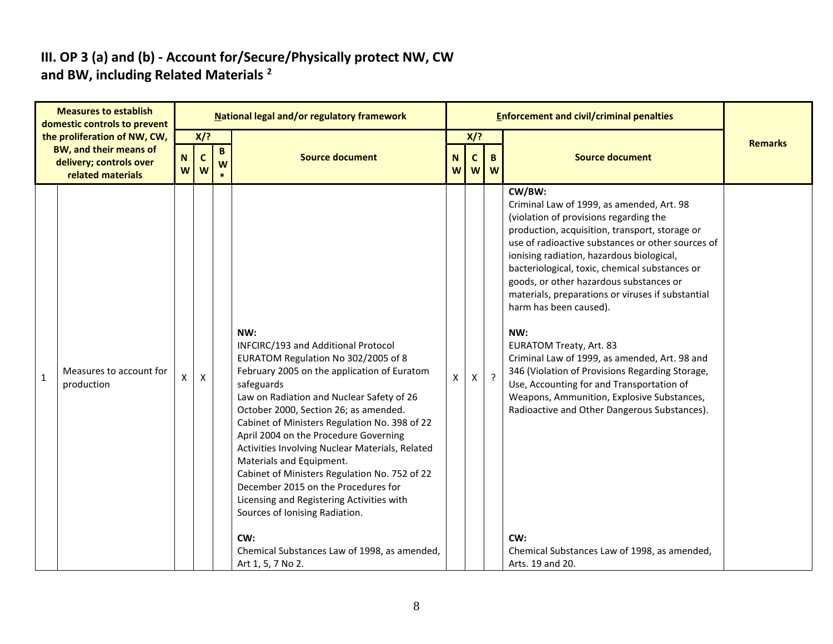#### **III. OP 3 (a) and (b) - Account for/Secure/Physically protect NW, CW and BW, including Related Materials <sup>2</sup>**

|                                                                                                               | <b>Measures to establish</b><br>domestic controls to prevent |        |                           |        | National legal and/or regulatory framework                                                                                                                                                                                                                                                                                                                                                                                                                                                                                                                                           |   |              |                        | <b>Enforcement and civil/criminal penalties</b>                                                                                                                                                                                                                                                                                                                                                                                                                                                                                                                                                                                                                                                                       |                |
|---------------------------------------------------------------------------------------------------------------|--------------------------------------------------------------|--------|---------------------------|--------|--------------------------------------------------------------------------------------------------------------------------------------------------------------------------------------------------------------------------------------------------------------------------------------------------------------------------------------------------------------------------------------------------------------------------------------------------------------------------------------------------------------------------------------------------------------------------------------|---|--------------|------------------------|-----------------------------------------------------------------------------------------------------------------------------------------------------------------------------------------------------------------------------------------------------------------------------------------------------------------------------------------------------------------------------------------------------------------------------------------------------------------------------------------------------------------------------------------------------------------------------------------------------------------------------------------------------------------------------------------------------------------------|----------------|
| the proliferation of NW, CW,<br><b>BW, and their means of</b><br>delivery; controls over<br>related materials |                                                              | N<br>W | $X$ ?<br>$\mathbf c$<br>W | B<br>W | <b>Source document</b>                                                                                                                                                                                                                                                                                                                                                                                                                                                                                                                                                               |   |              | $X$ ?<br>B.<br>$W$ $W$ | <b>Source document</b>                                                                                                                                                                                                                                                                                                                                                                                                                                                                                                                                                                                                                                                                                                | <b>Remarks</b> |
| $\mathbf{1}$                                                                                                  | Measures to account for<br>production                        | X      | $\mathsf{X}$              |        | NW:<br>INFCIRC/193 and Additional Protocol<br>EURATOM Regulation No 302/2005 of 8<br>February 2005 on the application of Euratom<br>safeguards<br>Law on Radiation and Nuclear Safety of 26<br>October 2000, Section 26; as amended.<br>Cabinet of Ministers Regulation No. 398 of 22<br>April 2004 on the Procedure Governing<br>Activities Involving Nuclear Materials, Related<br>Materials and Equipment.<br>Cabinet of Ministers Regulation No. 752 of 22<br>December 2015 on the Procedures for<br>Licensing and Registering Activities with<br>Sources of Ionising Radiation. | X | $\mathsf{X}$ | $\cdot$ ?              | CW/BW:<br>Criminal Law of 1999, as amended, Art. 98<br>(violation of provisions regarding the<br>production, acquisition, transport, storage or<br>use of radioactive substances or other sources of<br>ionising radiation, hazardous biological,<br>bacteriological, toxic, chemical substances or<br>goods, or other hazardous substances or<br>materials, preparations or viruses if substantial<br>harm has been caused).<br>NW:<br><b>EURATOM Treaty, Art. 83</b><br>Criminal Law of 1999, as amended, Art. 98 and<br>346 (Violation of Provisions Regarding Storage,<br>Use, Accounting for and Transportation of<br>Weapons, Ammunition, Explosive Substances,<br>Radioactive and Other Dangerous Substances). |                |
|                                                                                                               |                                                              |        |                           |        | CW:<br>Chemical Substances Law of 1998, as amended,<br>Art 1, 5, 7 No 2.                                                                                                                                                                                                                                                                                                                                                                                                                                                                                                             |   |              |                        | CW:<br>Chemical Substances Law of 1998, as amended,<br>Arts. 19 and 20.                                                                                                                                                                                                                                                                                                                                                                                                                                                                                                                                                                                                                                               |                |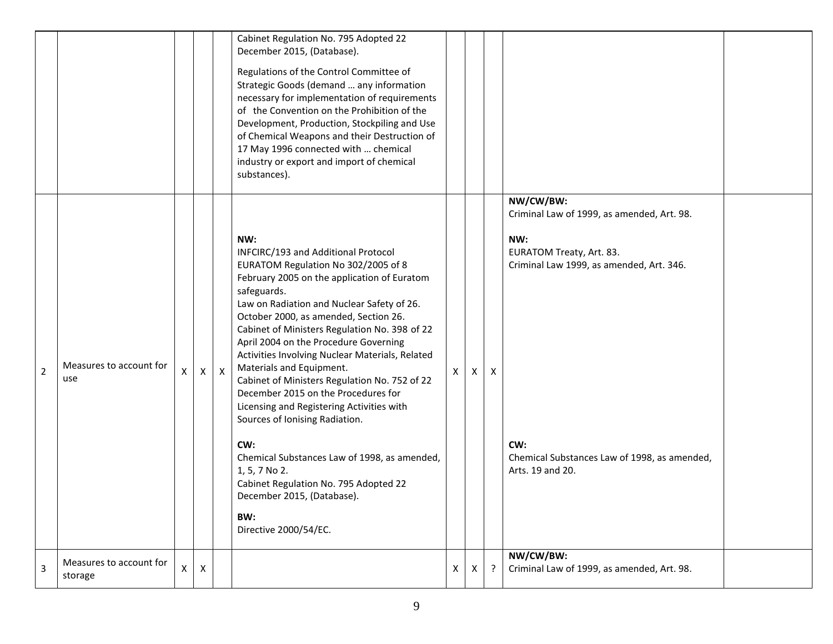|                |                                    |   |   |              | Cabinet Regulation No. 795 Adopted 22<br>December 2015, (Database).<br>Regulations of the Control Committee of<br>Strategic Goods (demand  any information<br>necessary for implementation of requirements<br>of the Convention on the Prohibition of the<br>Development, Production, Stockpiling and Use<br>of Chemical Weapons and their Destruction of<br>17 May 1996 connected with  chemical<br>industry or export and import of chemical<br>substances).                                                                                                                                                                                                                                                                                                        |              |              |   |                                                                                                                                                                                                                   |  |
|----------------|------------------------------------|---|---|--------------|-----------------------------------------------------------------------------------------------------------------------------------------------------------------------------------------------------------------------------------------------------------------------------------------------------------------------------------------------------------------------------------------------------------------------------------------------------------------------------------------------------------------------------------------------------------------------------------------------------------------------------------------------------------------------------------------------------------------------------------------------------------------------|--------------|--------------|---|-------------------------------------------------------------------------------------------------------------------------------------------------------------------------------------------------------------------|--|
| $\overline{2}$ | Measures to account for<br>use     |   | X | $\mathsf{X}$ | NW:<br>INFCIRC/193 and Additional Protocol<br>EURATOM Regulation No 302/2005 of 8<br>February 2005 on the application of Euratom<br>safeguards.<br>Law on Radiation and Nuclear Safety of 26.<br>October 2000, as amended, Section 26.<br>Cabinet of Ministers Regulation No. 398 of 22<br>April 2004 on the Procedure Governing<br>Activities Involving Nuclear Materials, Related<br>Materials and Equipment.<br>Cabinet of Ministers Regulation No. 752 of 22<br>December 2015 on the Procedures for<br>Licensing and Registering Activities with<br>Sources of Ionising Radiation.<br>CW:<br>Chemical Substances Law of 1998, as amended,<br>1, 5, 7 No 2.<br>Cabinet Regulation No. 795 Adopted 22<br>December 2015, (Database).<br>BW:<br>Directive 2000/54/EC. | $\mathsf{x}$ | X            | X | NW/CW/BW:<br>Criminal Law of 1999, as amended, Art. 98.<br>NW:<br>EURATOM Treaty, Art. 83.<br>Criminal Law 1999, as amended, Art. 346.<br>CW:<br>Chemical Substances Law of 1998, as amended,<br>Arts. 19 and 20. |  |
| 3              | Measures to account for<br>storage | X | X |              |                                                                                                                                                                                                                                                                                                                                                                                                                                                                                                                                                                                                                                                                                                                                                                       | X            | $\mathsf{X}$ | ? | NW/CW/BW:<br>Criminal Law of 1999, as amended, Art. 98.                                                                                                                                                           |  |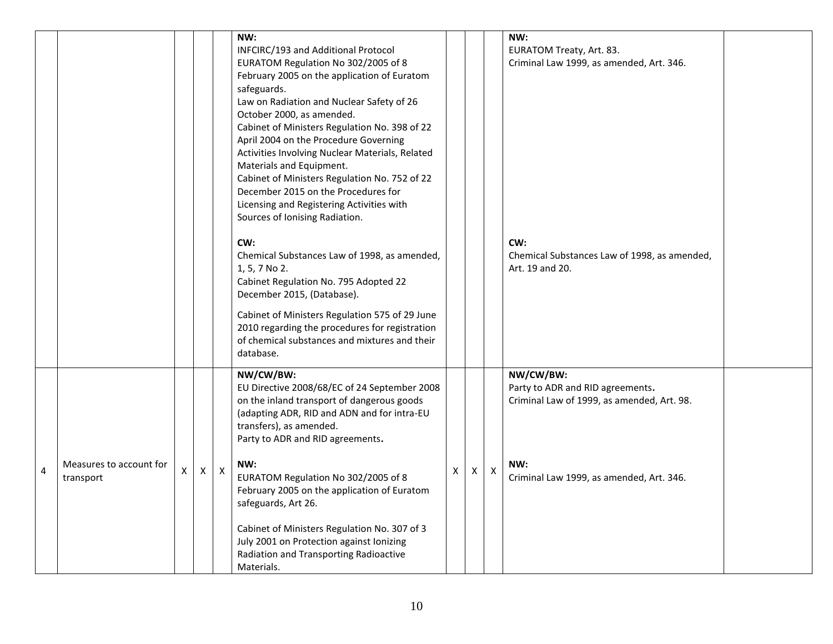|                         |                                      |   |                |             | NW:<br>INFCIRC/193 and Additional Protocol<br>EURATOM Regulation No 302/2005 of 8<br>February 2005 on the application of Euratom<br>safeguards.<br>Law on Radiation and Nuclear Safety of 26<br>October 2000, as amended.<br>Cabinet of Ministers Regulation No. 398 of 22<br>April 2004 on the Procedure Governing<br>Activities Involving Nuclear Materials, Related<br>Materials and Equipment.<br>Cabinet of Ministers Regulation No. 752 of 22<br>December 2015 on the Procedures for<br>Licensing and Registering Activities with<br>Sources of Ionising Radiation.<br>CW:<br>Chemical Substances Law of 1998, as amended,<br>1, 5, 7 No 2.<br>Cabinet Regulation No. 795 Adopted 22<br>December 2015, (Database).<br>Cabinet of Ministers Regulation 575 of 29 June<br>2010 regarding the procedures for registration<br>of chemical substances and mixtures and their |   |   |                    | NW:<br>EURATOM Treaty, Art. 83.<br>Criminal Law 1999, as amended, Art. 346.<br>CW:<br>Chemical Substances Law of 1998, as amended,<br>Art. 19 and 20. |  |
|-------------------------|--------------------------------------|---|----------------|-------------|-------------------------------------------------------------------------------------------------------------------------------------------------------------------------------------------------------------------------------------------------------------------------------------------------------------------------------------------------------------------------------------------------------------------------------------------------------------------------------------------------------------------------------------------------------------------------------------------------------------------------------------------------------------------------------------------------------------------------------------------------------------------------------------------------------------------------------------------------------------------------------|---|---|--------------------|-------------------------------------------------------------------------------------------------------------------------------------------------------|--|
| $\overline{\mathbf{4}}$ | Measures to account for<br>transport | X | $\pmb{\times}$ | $\mathsf X$ | database.<br>NW/CW/BW:<br>EU Directive 2008/68/EC of 24 September 2008<br>on the inland transport of dangerous goods<br>(adapting ADR, RID and ADN and for intra-EU<br>transfers), as amended.<br>Party to ADR and RID agreements.<br>NW:<br>EURATOM Regulation No 302/2005 of 8<br>February 2005 on the application of Euratom<br>safeguards, Art 26.<br>Cabinet of Ministers Regulation No. 307 of 3<br>July 2001 on Protection against Ionizing<br>Radiation and Transporting Radioactive<br>Materials.                                                                                                                                                                                                                                                                                                                                                                    | Χ | X | $\pmb{\mathsf{X}}$ | NW/CW/BW:<br>Party to ADR and RID agreements.<br>Criminal Law of 1999, as amended, Art. 98.<br>NW:<br>Criminal Law 1999, as amended, Art. 346.        |  |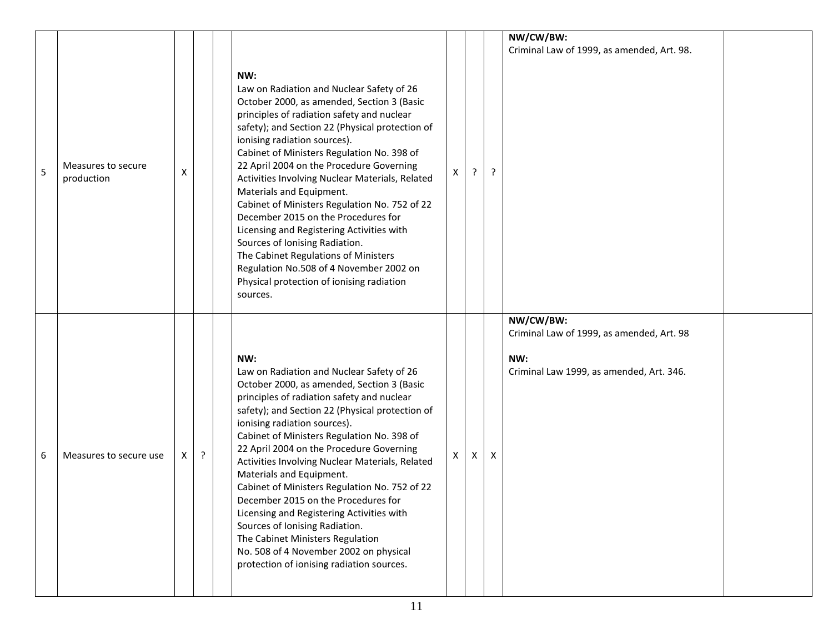|   |                                  |    |         | NW:                                                                                                                                                                                                                                                                                                                                                                                                                                                                                                                                                                                                                                                                                                                  |   |   |   | NW/CW/BW:<br>Criminal Law of 1999, as amended, Art. 98.                                                   |  |
|---|----------------------------------|----|---------|----------------------------------------------------------------------------------------------------------------------------------------------------------------------------------------------------------------------------------------------------------------------------------------------------------------------------------------------------------------------------------------------------------------------------------------------------------------------------------------------------------------------------------------------------------------------------------------------------------------------------------------------------------------------------------------------------------------------|---|---|---|-----------------------------------------------------------------------------------------------------------|--|
| 5 | Measures to secure<br>production | x  |         | Law on Radiation and Nuclear Safety of 26<br>October 2000, as amended, Section 3 (Basic<br>principles of radiation safety and nuclear<br>safety); and Section 22 (Physical protection of<br>ionising radiation sources).<br>Cabinet of Ministers Regulation No. 398 of<br>22 April 2004 on the Procedure Governing<br>Activities Involving Nuclear Materials, Related<br>Materials and Equipment.<br>Cabinet of Ministers Regulation No. 752 of 22<br>December 2015 on the Procedures for<br>Licensing and Registering Activities with<br>Sources of Ionising Radiation.<br>The Cabinet Regulations of Ministers<br>Regulation No.508 of 4 November 2002 on<br>Physical protection of ionising radiation<br>sources. | X |   | ? |                                                                                                           |  |
| 6 | Measures to secure use           | X. | $\cdot$ | NW:<br>Law on Radiation and Nuclear Safety of 26<br>October 2000, as amended, Section 3 (Basic<br>principles of radiation safety and nuclear<br>safety); and Section 22 (Physical protection of<br>ionising radiation sources).<br>Cabinet of Ministers Regulation No. 398 of<br>22 April 2004 on the Procedure Governing<br>Activities Involving Nuclear Materials, Related<br>Materials and Equipment.<br>Cabinet of Ministers Regulation No. 752 of 22<br>December 2015 on the Procedures for<br>Licensing and Registering Activities with<br>Sources of Ionising Radiation.<br>The Cabinet Ministers Regulation<br>No. 508 of 4 November 2002 on physical<br>protection of ionising radiation sources.           | X | X | X | NW/CW/BW:<br>Criminal Law of 1999, as amended, Art. 98<br>NW:<br>Criminal Law 1999, as amended, Art. 346. |  |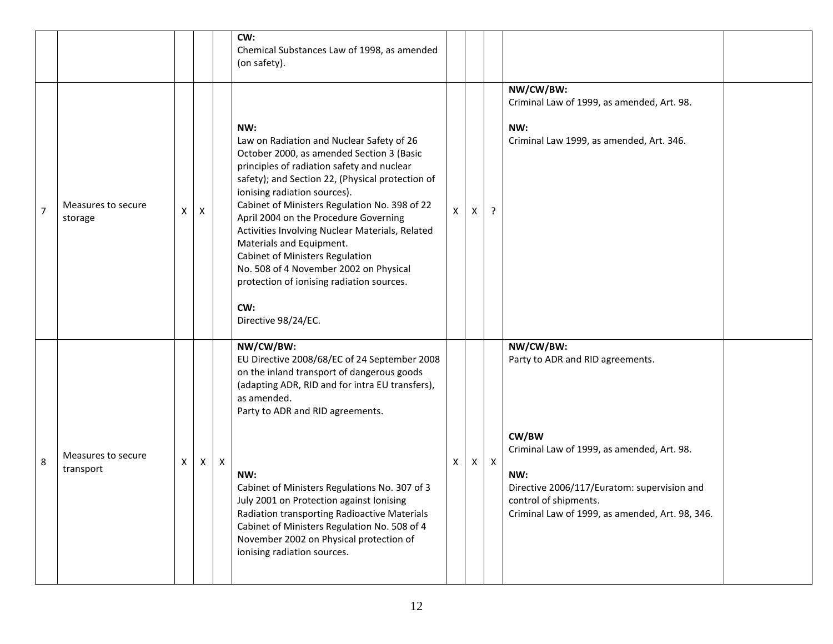|                |                                 |   |   |                | CW:<br>Chemical Substances Law of 1998, as amended<br>(on safety).                                                                                                                                                                                                                                                                                                                                                                                                                                                                                                      |   |   |              |                                                                                                                                                                                                                                        |  |
|----------------|---------------------------------|---|---|----------------|-------------------------------------------------------------------------------------------------------------------------------------------------------------------------------------------------------------------------------------------------------------------------------------------------------------------------------------------------------------------------------------------------------------------------------------------------------------------------------------------------------------------------------------------------------------------------|---|---|--------------|----------------------------------------------------------------------------------------------------------------------------------------------------------------------------------------------------------------------------------------|--|
| $\overline{7}$ | Measures to secure<br>storage   | X | Χ |                | NW:<br>Law on Radiation and Nuclear Safety of 26<br>October 2000, as amended Section 3 (Basic<br>principles of radiation safety and nuclear<br>safety); and Section 22, (Physical protection of<br>ionising radiation sources).<br>Cabinet of Ministers Regulation No. 398 of 22<br>April 2004 on the Procedure Governing<br>Activities Involving Nuclear Materials, Related<br>Materials and Equipment.<br><b>Cabinet of Ministers Regulation</b><br>No. 508 of 4 November 2002 on Physical<br>protection of ionising radiation sources.<br>CW:<br>Directive 98/24/EC. | x | X | ?            | NW/CW/BW:<br>Criminal Law of 1999, as amended, Art. 98.<br>NW:<br>Criminal Law 1999, as amended, Art. 346.                                                                                                                             |  |
| 8              | Measures to secure<br>transport | X | Χ | $\pmb{\times}$ | NW/CW/BW:<br>EU Directive 2008/68/EC of 24 September 2008<br>on the inland transport of dangerous goods<br>(adapting ADR, RID and for intra EU transfers),<br>as amended.<br>Party to ADR and RID agreements.<br>NW:<br>Cabinet of Ministers Regulations No. 307 of 3<br>July 2001 on Protection against Ionising<br>Radiation transporting Radioactive Materials<br>Cabinet of Ministers Regulation No. 508 of 4<br>November 2002 on Physical protection of<br>ionising radiation sources.                                                                             | x | X | $\mathsf{X}$ | NW/CW/BW:<br>Party to ADR and RID agreements.<br>CW/BW<br>Criminal Law of 1999, as amended, Art. 98.<br>NW:<br>Directive 2006/117/Euratom: supervision and<br>control of shipments.<br>Criminal Law of 1999, as amended, Art. 98, 346. |  |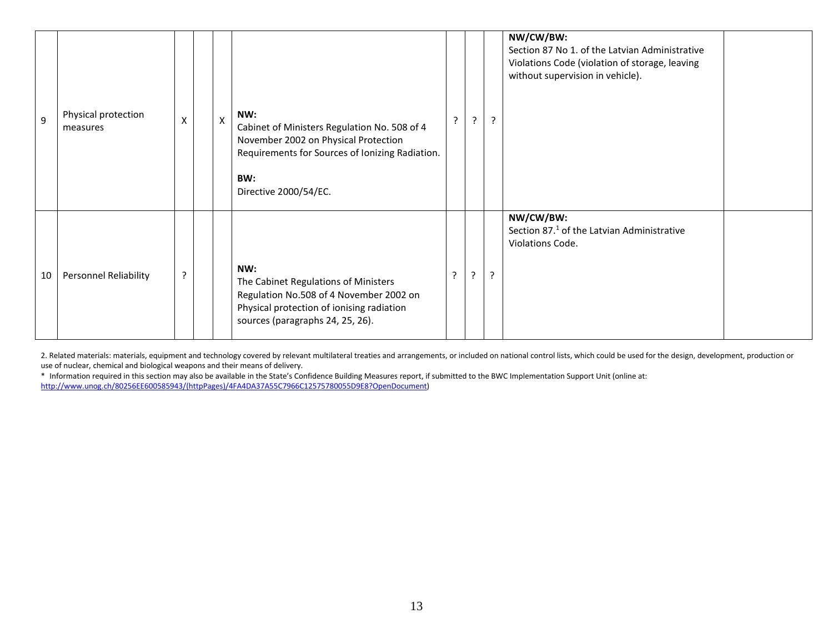| 9  | Physical protection<br>measures | Χ | X | NW:<br>Cabinet of Ministers Regulation No. 508 of 4<br>November 2002 on Physical Protection<br>Requirements for Sources of Ionizing Radiation.<br>BW:<br>Directive 2000/54/EC. | $\mathcal{L}$ | $\overline{z}$ | $\overline{a}$ | NW/CW/BW:<br>Section 87 No 1. of the Latvian Administrative<br>Violations Code (violation of storage, leaving<br>without supervision in vehicle). |
|----|---------------------------------|---|---|--------------------------------------------------------------------------------------------------------------------------------------------------------------------------------|---------------|----------------|----------------|---------------------------------------------------------------------------------------------------------------------------------------------------|
| 10 | <b>Personnel Reliability</b>    | ? |   | NW:<br>The Cabinet Regulations of Ministers<br>Regulation No.508 of 4 November 2002 on<br>Physical protection of ionising radiation<br>sources (paragraphs 24, 25, 26).        | ာ             | $\overline{?}$ | P.             | NW/CW/BW:<br>Section 87. <sup>1</sup> of the Latvian Administrative<br>Violations Code.                                                           |

2. Related materials: materials, equipment and technology covered by relevant multilateral treaties and arrangements, or included on national control lists, which could be used for the design, development, production or use of nuclear, chemical and biological weapons and their means of delivery.

\* Information required in this section may also be available in the State's Confidence Building Measures report, if submitted to the BWC Implementation Support Unit (online at: [http://www.unog.ch/80256EE600585943/\(httpPages\)/4FA4DA37A55C7966C12575780055D9E8?OpenDocument\)](http://www.unog.ch/80256EE600585943/(httpPages)/4FA4DA37A55C7966C12575780055D9E8?OpenDocument)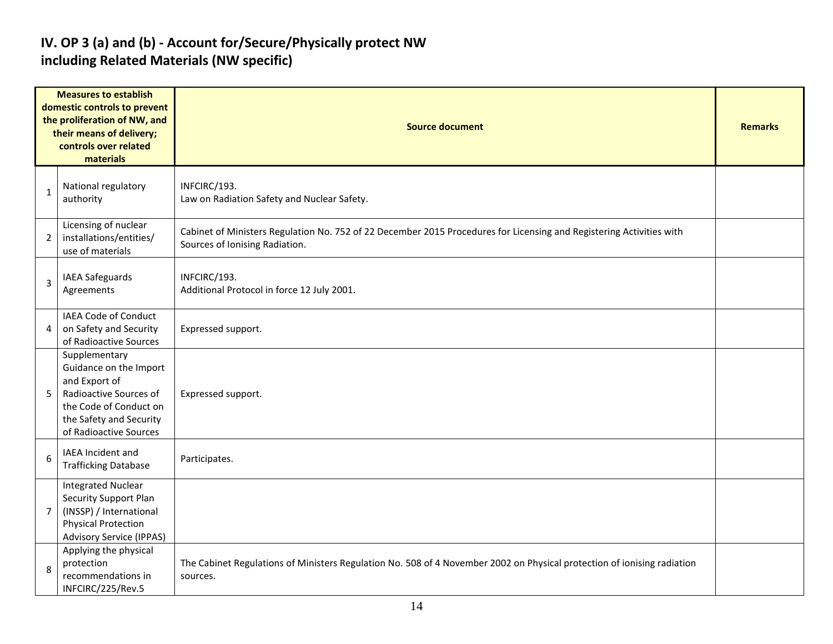#### **IV. OP 3 (a) and (b) - Account for/Secure/Physically protect NW including Related Materials (NW specific)**

|              | <b>Measures to establish</b><br>domestic controls to prevent<br>the proliferation of NW, and<br>their means of delivery;<br>controls over related<br>materials    | <b>Source document</b>                                                                                                                                 |  |  |  |  |  |  |  |
|--------------|-------------------------------------------------------------------------------------------------------------------------------------------------------------------|--------------------------------------------------------------------------------------------------------------------------------------------------------|--|--|--|--|--|--|--|
| $\mathbf{1}$ | National regulatory<br>authority                                                                                                                                  | INFCIRC/193.<br>Law on Radiation Safety and Nuclear Safety.                                                                                            |  |  |  |  |  |  |  |
| 2            | Licensing of nuclear<br>installations/entities/<br>use of materials                                                                                               | Cabinet of Ministers Regulation No. 752 of 22 December 2015 Procedures for Licensing and Registering Activities with<br>Sources of Ionising Radiation. |  |  |  |  |  |  |  |
| 3            | IAEA Safeguards<br>Agreements                                                                                                                                     | INFCIRC/193.<br>Additional Protocol in force 12 July 2001.                                                                                             |  |  |  |  |  |  |  |
| 4            | IAEA Code of Conduct<br>on Safety and Security<br>of Radioactive Sources                                                                                          | Expressed support.                                                                                                                                     |  |  |  |  |  |  |  |
| 5            | Supplementary<br>Guidance on the Import<br>and Export of<br>Radioactive Sources of<br>the Code of Conduct on<br>the Safety and Security<br>of Radioactive Sources | Expressed support.                                                                                                                                     |  |  |  |  |  |  |  |
| 6            | IAEA Incident and<br><b>Trafficking Database</b>                                                                                                                  | Participates.                                                                                                                                          |  |  |  |  |  |  |  |
| 7            | <b>Integrated Nuclear</b><br>Security Support Plan<br>(INSSP) / International<br><b>Physical Protection</b><br><b>Advisory Service (IPPAS)</b>                    |                                                                                                                                                        |  |  |  |  |  |  |  |
| 8            | Applying the physical<br>protection<br>recommendations in<br>INFCIRC/225/Rev.5                                                                                    | The Cabinet Regulations of Ministers Regulation No. 508 of 4 November 2002 on Physical protection of ionising radiation<br>sources.                    |  |  |  |  |  |  |  |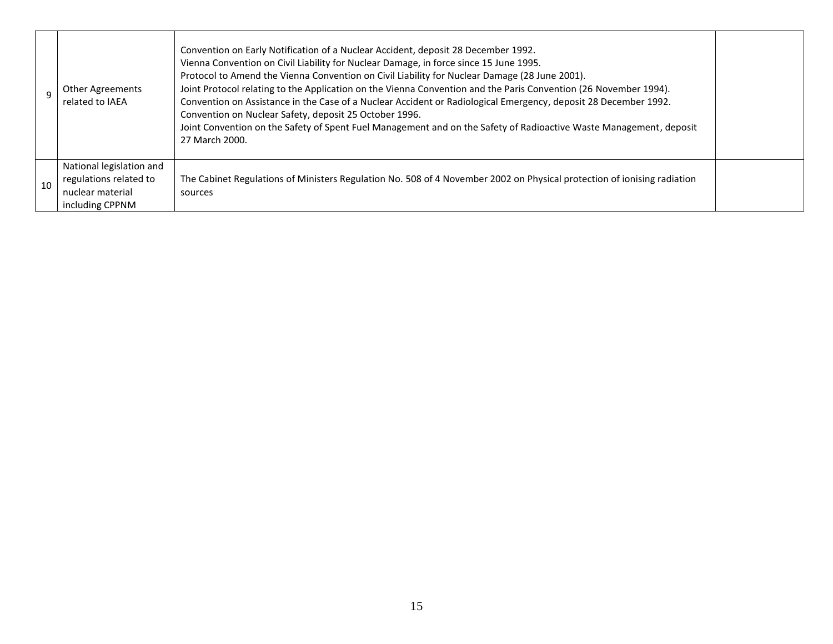|    | Other Agreements<br>related to IAEA                                                       | Convention on Early Notification of a Nuclear Accident, deposit 28 December 1992.<br>Vienna Convention on Civil Liability for Nuclear Damage, in force since 15 June 1995.<br>Protocol to Amend the Vienna Convention on Civil Liability for Nuclear Damage (28 June 2001).<br>Joint Protocol relating to the Application on the Vienna Convention and the Paris Convention (26 November 1994).<br>Convention on Assistance in the Case of a Nuclear Accident or Radiological Emergency, deposit 28 December 1992.<br>Convention on Nuclear Safety, deposit 25 October 1996.<br>Joint Convention on the Safety of Spent Fuel Management and on the Safety of Radioactive Waste Management, deposit<br>27 March 2000. |  |
|----|-------------------------------------------------------------------------------------------|----------------------------------------------------------------------------------------------------------------------------------------------------------------------------------------------------------------------------------------------------------------------------------------------------------------------------------------------------------------------------------------------------------------------------------------------------------------------------------------------------------------------------------------------------------------------------------------------------------------------------------------------------------------------------------------------------------------------|--|
| 10 | National legislation and<br>regulations related to<br>nuclear material<br>including CPPNM | The Cabinet Regulations of Ministers Regulation No. 508 of 4 November 2002 on Physical protection of ionising radiation<br>sources                                                                                                                                                                                                                                                                                                                                                                                                                                                                                                                                                                                   |  |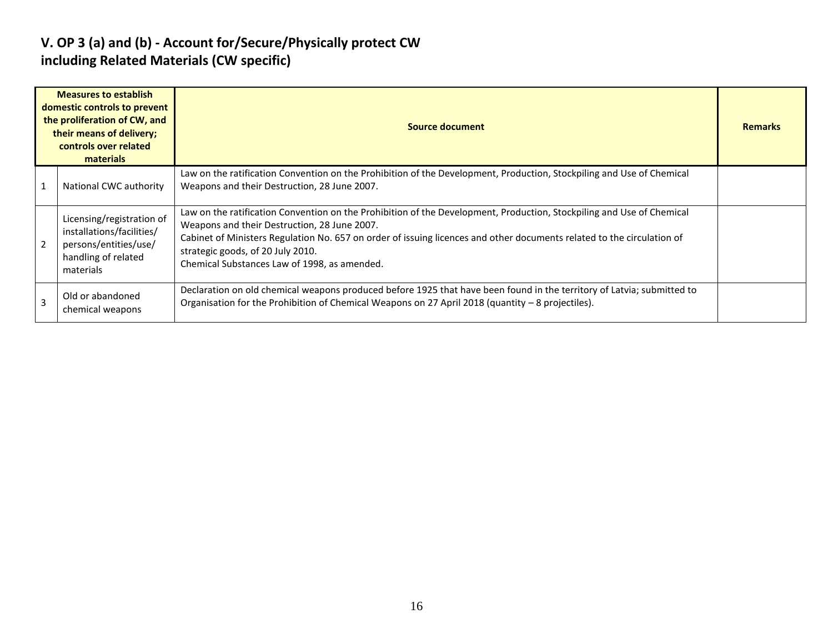#### **V. OP 3 (a) and (b) - Account for/Secure/Physically protect CW including Related Materials (CW specific)**

|   | <b>Measures to establish</b><br>domestic controls to prevent<br>the proliferation of CW, and<br>their means of delivery;<br>controls over related<br>materials | Source document                                                                                                                                                                                                                                                                                                                                                                      | <b>Remarks</b> |
|---|----------------------------------------------------------------------------------------------------------------------------------------------------------------|--------------------------------------------------------------------------------------------------------------------------------------------------------------------------------------------------------------------------------------------------------------------------------------------------------------------------------------------------------------------------------------|----------------|
|   | National CWC authority                                                                                                                                         | Law on the ratification Convention on the Prohibition of the Development, Production, Stockpiling and Use of Chemical<br>Weapons and their Destruction, 28 June 2007.                                                                                                                                                                                                                |                |
| 2 | Licensing/registration of<br>installations/facilities/<br>persons/entities/use/<br>handling of related<br>materials                                            | Law on the ratification Convention on the Prohibition of the Development, Production, Stockpiling and Use of Chemical<br>Weapons and their Destruction, 28 June 2007.<br>Cabinet of Ministers Regulation No. 657 on order of issuing licences and other documents related to the circulation of<br>strategic goods, of 20 July 2010.<br>Chemical Substances Law of 1998, as amended. |                |
| 3 | Old or abandoned<br>chemical weapons                                                                                                                           | Declaration on old chemical weapons produced before 1925 that have been found in the territory of Latvia; submitted to<br>Organisation for the Prohibition of Chemical Weapons on 27 April 2018 (quantity - 8 projectiles).                                                                                                                                                          |                |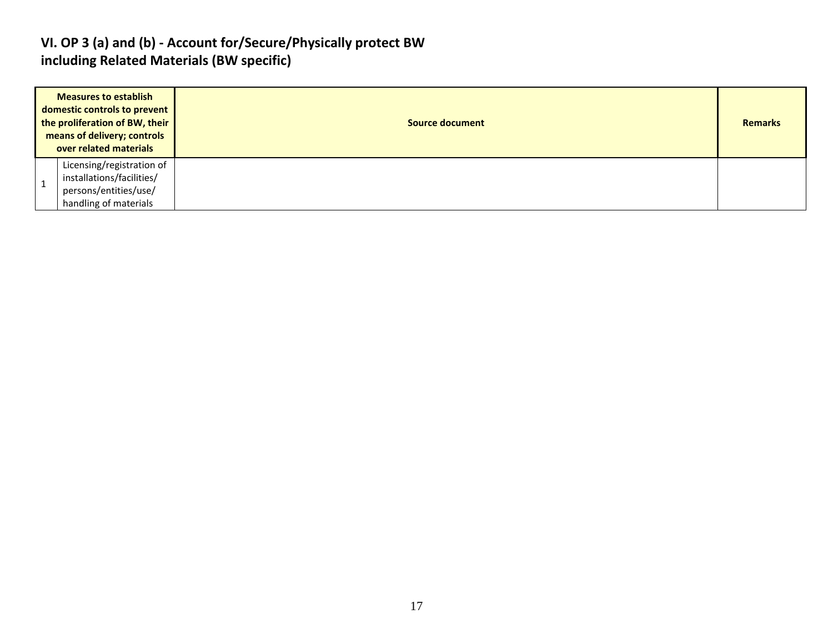#### **VI. OP 3 (a) and (b) - Account for/Secure/Physically protect BW including Related Materials (BW specific)**

| <b>Measures to establish</b><br>domestic controls to prevent<br>the proliferation of BW, their<br>means of delivery; controls<br>over related materials |                                                                                                          | Source document | <b>Remarks</b> |
|---------------------------------------------------------------------------------------------------------------------------------------------------------|----------------------------------------------------------------------------------------------------------|-----------------|----------------|
|                                                                                                                                                         | Licensing/registration of<br>installations/facilities/<br>persons/entities/use/<br>handling of materials |                 |                |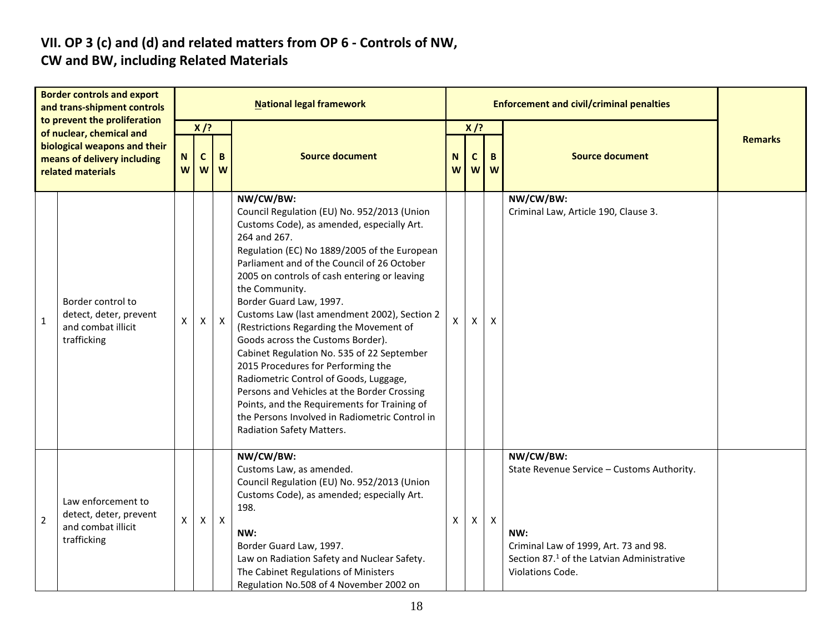# **VII. OP 3 (c) and (d) and related matters from OP 6 - Controls of NW,**

### **CW and BW, including Related Materials**

| <b>Border controls and export</b><br>and trans-shipment controls<br>to prevent the proliferation<br>of nuclear, chemical and<br>biological weapons and their<br>means of delivery including<br>related materials |                                                                                   | <b>National legal framework</b> |                            |              |                                                                                                                                                                                                                                                                                                                                                                                                                                                                                                                                                                                                                                                                                                                                                                |              |                  | <b>Enforcement and civil/criminal penalties</b> |                                                                                                                                                                                       |                |
|------------------------------------------------------------------------------------------------------------------------------------------------------------------------------------------------------------------|-----------------------------------------------------------------------------------|---------------------------------|----------------------------|--------------|----------------------------------------------------------------------------------------------------------------------------------------------------------------------------------------------------------------------------------------------------------------------------------------------------------------------------------------------------------------------------------------------------------------------------------------------------------------------------------------------------------------------------------------------------------------------------------------------------------------------------------------------------------------------------------------------------------------------------------------------------------------|--------------|------------------|-------------------------------------------------|---------------------------------------------------------------------------------------------------------------------------------------------------------------------------------------|----------------|
|                                                                                                                                                                                                                  |                                                                                   | N<br>W                          | $X$ /?<br>B<br>C<br>W<br>W |              | <b>Source document</b>                                                                                                                                                                                                                                                                                                                                                                                                                                                                                                                                                                                                                                                                                                                                         |              | $X$ /?<br>C<br>W | B<br>W                                          | <b>Source document</b>                                                                                                                                                                | <b>Remarks</b> |
| $\mathbf{1}$                                                                                                                                                                                                     | Border control to<br>detect, deter, prevent<br>and combat illicit<br>trafficking  | X                               | X                          | $\mathsf{X}$ | NW/CW/BW:<br>Council Regulation (EU) No. 952/2013 (Union<br>Customs Code), as amended, especially Art.<br>264 and 267.<br>Regulation (EC) No 1889/2005 of the European<br>Parliament and of the Council of 26 October<br>2005 on controls of cash entering or leaving<br>the Community.<br>Border Guard Law, 1997.<br>Customs Law (last amendment 2002), Section 2<br>(Restrictions Regarding the Movement of<br>Goods across the Customs Border).<br>Cabinet Regulation No. 535 of 22 September<br>2015 Procedures for Performing the<br>Radiometric Control of Goods, Luggage,<br>Persons and Vehicles at the Border Crossing<br>Points, and the Requirements for Training of<br>the Persons Involved in Radiometric Control in<br>Radiation Safety Matters. | $\mathsf{x}$ | X                | X                                               | NW/CW/BW:<br>Criminal Law, Article 190, Clause 3.                                                                                                                                     |                |
| $\overline{2}$                                                                                                                                                                                                   | Law enforcement to<br>detect, deter, prevent<br>and combat illicit<br>trafficking | X                               | X                          | $\mathsf{X}$ | NW/CW/BW:<br>Customs Law, as amended.<br>Council Regulation (EU) No. 952/2013 (Union<br>Customs Code), as amended; especially Art.<br>198.<br>NW:<br>Border Guard Law, 1997.<br>Law on Radiation Safety and Nuclear Safety.<br>The Cabinet Regulations of Ministers<br>Regulation No.508 of 4 November 2002 on                                                                                                                                                                                                                                                                                                                                                                                                                                                 | X            | X                | $\boldsymbol{\mathsf{X}}$                       | NW/CW/BW:<br>State Revenue Service - Customs Authority.<br>NW:<br>Criminal Law of 1999, Art. 73 and 98.<br>Section 87. <sup>1</sup> of the Latvian Administrative<br>Violations Code. |                |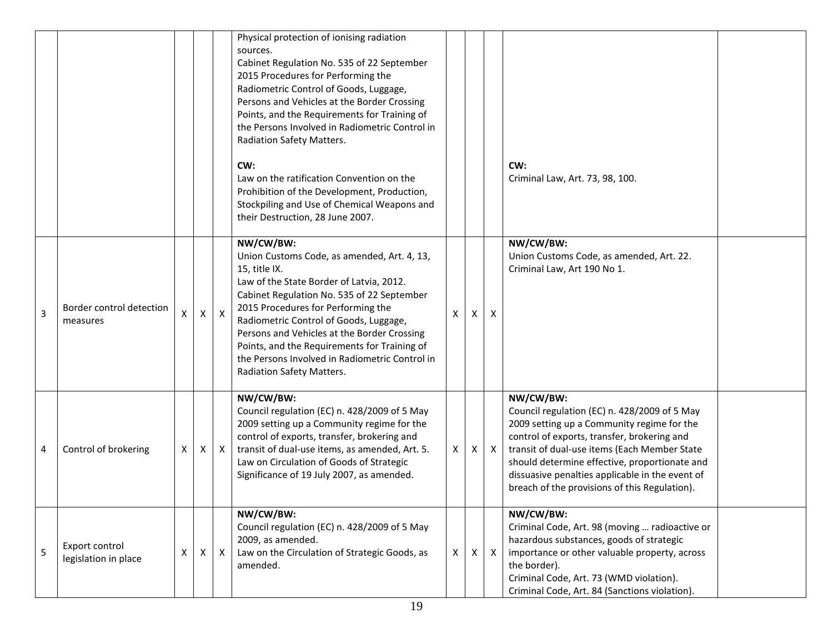|   |                                        |   |    |              | Physical protection of ionising radiation<br>sources.<br>Cabinet Regulation No. 535 of 22 September<br>2015 Procedures for Performing the<br>Radiometric Control of Goods, Luggage,<br>Persons and Vehicles at the Border Crossing<br>Points, and the Requirements for Training of<br>the Persons Involved in Radiometric Control in<br>Radiation Safety Matters.<br>CW:<br>Law on the ratification Convention on the<br>Prohibition of the Development, Production,<br>Stockpiling and Use of Chemical Weapons and<br>their Destruction, 28 June 2007. |                           |    |              | CW:<br>Criminal Law, Art. 73, 98, 100.                                                                                                                                                                                                                                                                                                                      |
|---|----------------------------------------|---|----|--------------|---------------------------------------------------------------------------------------------------------------------------------------------------------------------------------------------------------------------------------------------------------------------------------------------------------------------------------------------------------------------------------------------------------------------------------------------------------------------------------------------------------------------------------------------------------|---------------------------|----|--------------|-------------------------------------------------------------------------------------------------------------------------------------------------------------------------------------------------------------------------------------------------------------------------------------------------------------------------------------------------------------|
| 3 | Border control detection<br>measures   | X | X  | $\pmb{\chi}$ | NW/CW/BW:<br>Union Customs Code, as amended, Art. 4, 13,<br>15, title IX.<br>Law of the State Border of Latvia, 2012.<br>Cabinet Regulation No. 535 of 22 September<br>2015 Procedures for Performing the<br>Radiometric Control of Goods, Luggage,<br>Persons and Vehicles at the Border Crossing<br>Points, and the Requirements for Training of<br>the Persons Involved in Radiometric Control in<br>Radiation Safety Matters.                                                                                                                       | $\boldsymbol{\mathsf{x}}$ | X  | X            | NW/CW/BW:<br>Union Customs Code, as amended, Art. 22.<br>Criminal Law, Art 190 No 1.                                                                                                                                                                                                                                                                        |
| 4 | Control of brokering                   | X | X  | $\mathsf{X}$ | NW/CW/BW:<br>Council regulation (EC) n. 428/2009 of 5 May<br>2009 setting up a Community regime for the<br>control of exports, transfer, brokering and<br>transit of dual-use items, as amended, Art. 5.<br>Law on Circulation of Goods of Strategic<br>Significance of 19 July 2007, as amended.                                                                                                                                                                                                                                                       | $\mathsf{X}$              | X. | $\mathsf{X}$ | NW/CW/BW:<br>Council regulation (EC) n. 428/2009 of 5 May<br>2009 setting up a Community regime for the<br>control of exports, transfer, brokering and<br>transit of dual-use items (Each Member State<br>should determine effective, proportionate and<br>dissuasive penalties applicable in the event of<br>breach of the provisions of this Regulation). |
| 5 | Export control<br>legislation in place | X | X. | X            | NW/CW/BW:<br>Council regulation (EC) n. 428/2009 of 5 May<br>2009, as amended.<br>Law on the Circulation of Strategic Goods, as<br>amended.                                                                                                                                                                                                                                                                                                                                                                                                             | $\mathsf{X}$              | X. | $\mathsf{X}$ | NW/CW/BW:<br>Criminal Code, Art. 98 (moving  radioactive or<br>hazardous substances, goods of strategic<br>importance or other valuable property, across<br>the border).<br>Criminal Code, Art. 73 (WMD violation).<br>Criminal Code, Art. 84 (Sanctions violation).                                                                                        |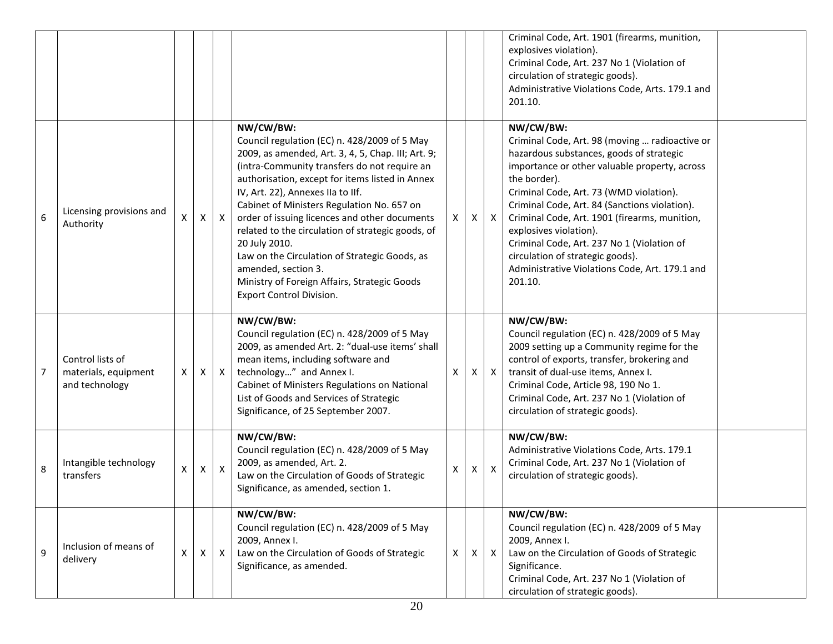|                |                                                            |                           |              |              |                                                                                                                                                                                                                                                                                                                                                                                                                                                                                                                                                                                  |              |   |                           | Criminal Code, Art. 1901 (firearms, munition,<br>explosives violation).<br>Criminal Code, Art. 237 No 1 (Violation of<br>circulation of strategic goods).<br>Administrative Violations Code, Arts. 179.1 and<br>201.10.                                                                                                                                                                                                                                                                        |
|----------------|------------------------------------------------------------|---------------------------|--------------|--------------|----------------------------------------------------------------------------------------------------------------------------------------------------------------------------------------------------------------------------------------------------------------------------------------------------------------------------------------------------------------------------------------------------------------------------------------------------------------------------------------------------------------------------------------------------------------------------------|--------------|---|---------------------------|------------------------------------------------------------------------------------------------------------------------------------------------------------------------------------------------------------------------------------------------------------------------------------------------------------------------------------------------------------------------------------------------------------------------------------------------------------------------------------------------|
| 6              | Licensing provisions and<br>Authority                      | X                         | X            | $\mathsf{X}$ | NW/CW/BW:<br>Council regulation (EC) n. 428/2009 of 5 May<br>2009, as amended, Art. 3, 4, 5, Chap. III; Art. 9;<br>(intra-Community transfers do not require an<br>authorisation, except for items listed in Annex<br>IV, Art. 22), Annexes IIa to IIf.<br>Cabinet of Ministers Regulation No. 657 on<br>order of issuing licences and other documents<br>related to the circulation of strategic goods, of<br>20 July 2010.<br>Law on the Circulation of Strategic Goods, as<br>amended, section 3.<br>Ministry of Foreign Affairs, Strategic Goods<br>Export Control Division. | X.           | X | $\mathsf{X}$              | NW/CW/BW:<br>Criminal Code, Art. 98 (moving  radioactive or<br>hazardous substances, goods of strategic<br>importance or other valuable property, across<br>the border).<br>Criminal Code, Art. 73 (WMD violation).<br>Criminal Code, Art. 84 (Sanctions violation).<br>Criminal Code, Art. 1901 (firearms, munition,<br>explosives violation).<br>Criminal Code, Art. 237 No 1 (Violation of<br>circulation of strategic goods).<br>Administrative Violations Code, Art. 179.1 and<br>201.10. |
| $\overline{7}$ | Control lists of<br>materials, equipment<br>and technology | Χ                         | X            | $\mathsf{X}$ | NW/CW/BW:<br>Council regulation (EC) n. 428/2009 of 5 May<br>2009, as amended Art. 2: "dual-use items' shall<br>mean items, including software and<br>technology" and Annex I.<br>Cabinet of Ministers Regulations on National<br>List of Goods and Services of Strategic<br>Significance, of 25 September 2007.                                                                                                                                                                                                                                                                 | X            | X | $\boldsymbol{X}$          | NW/CW/BW:<br>Council regulation (EC) n. 428/2009 of 5 May<br>2009 setting up a Community regime for the<br>control of exports, transfer, brokering and<br>transit of dual-use items, Annex I.<br>Criminal Code, Article 98, 190 No 1.<br>Criminal Code, Art. 237 No 1 (Violation of<br>circulation of strategic goods).                                                                                                                                                                        |
| 8              | Intangible technology<br>transfers                         | $\boldsymbol{\mathsf{X}}$ | $\mathsf{X}$ | $\mathsf{X}$ | NW/CW/BW:<br>Council regulation (EC) n. 428/2009 of 5 May<br>2009, as amended, Art. 2.<br>Law on the Circulation of Goods of Strategic<br>Significance, as amended, section 1.                                                                                                                                                                                                                                                                                                                                                                                                   | Χ            | Χ | $\boldsymbol{\mathsf{X}}$ | NW/CW/BW:<br>Administrative Violations Code, Arts. 179.1<br>Criminal Code, Art. 237 No 1 (Violation of<br>circulation of strategic goods).                                                                                                                                                                                                                                                                                                                                                     |
| 9              | Inclusion of means of<br>delivery                          | X                         | X            | $\mathsf{X}$ | NW/CW/BW:<br>Council regulation (EC) n. 428/2009 of 5 May<br>2009, Annex I.<br>Law on the Circulation of Goods of Strategic<br>Significance, as amended.                                                                                                                                                                                                                                                                                                                                                                                                                         | $\mathsf{x}$ | X | $\mathsf{X}$              | NW/CW/BW:<br>Council regulation (EC) n. 428/2009 of 5 May<br>2009, Annex I.<br>Law on the Circulation of Goods of Strategic<br>Significance.<br>Criminal Code, Art. 237 No 1 (Violation of<br>circulation of strategic goods).                                                                                                                                                                                                                                                                 |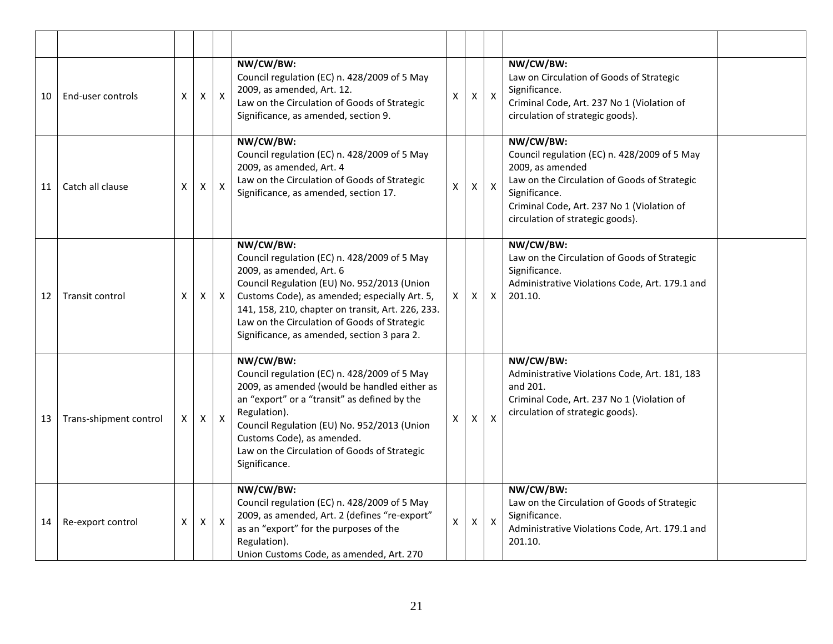| 10 | End-user controls      | X | $\pmb{\times}$ | $\mathsf{X}$ | NW/CW/BW:<br>Council regulation (EC) n. 428/2009 of 5 May<br>2009, as amended, Art. 12.<br>Law on the Circulation of Goods of Strategic<br>Significance, as amended, section 9.                                                                                                                                                           | X            | X            | $\mathsf{X}$              | NW/CW/BW:<br>Law on Circulation of Goods of Strategic<br>Significance.<br>Criminal Code, Art. 237 No 1 (Violation of<br>circulation of strategic goods).                                                                         |  |
|----|------------------------|---|----------------|--------------|-------------------------------------------------------------------------------------------------------------------------------------------------------------------------------------------------------------------------------------------------------------------------------------------------------------------------------------------|--------------|--------------|---------------------------|----------------------------------------------------------------------------------------------------------------------------------------------------------------------------------------------------------------------------------|--|
| 11 | Catch all clause       | X | X              | $\mathsf{x}$ | NW/CW/BW:<br>Council regulation (EC) n. 428/2009 of 5 May<br>2009, as amended, Art. 4<br>Law on the Circulation of Goods of Strategic<br>Significance, as amended, section 17.                                                                                                                                                            | $\mathsf{x}$ | X.           | $\mathsf{X}$              | NW/CW/BW:<br>Council regulation (EC) n. 428/2009 of 5 May<br>2009, as amended<br>Law on the Circulation of Goods of Strategic<br>Significance.<br>Criminal Code, Art. 237 No 1 (Violation of<br>circulation of strategic goods). |  |
| 12 | Transit control        | X | Χ              | $\mathsf{X}$ | NW/CW/BW:<br>Council regulation (EC) n. 428/2009 of 5 May<br>2009, as amended, Art. 6<br>Council Regulation (EU) No. 952/2013 (Union<br>Customs Code), as amended; especially Art. 5,<br>141, 158, 210, chapter on transit, Art. 226, 233.<br>Law on the Circulation of Goods of Strategic<br>Significance, as amended, section 3 para 2. | X.           | X            | $\boldsymbol{\mathsf{X}}$ | NW/CW/BW:<br>Law on the Circulation of Goods of Strategic<br>Significance.<br>Administrative Violations Code, Art. 179.1 and<br>201.10.                                                                                          |  |
| 13 | Trans-shipment control | X | $\mathsf{X}$   | $\mathsf{X}$ | NW/CW/BW:<br>Council regulation (EC) n. 428/2009 of 5 May<br>2009, as amended (would be handled either as<br>an "export" or a "transit" as defined by the<br>Regulation).<br>Council Regulation (EU) No. 952/2013 (Union<br>Customs Code), as amended.<br>Law on the Circulation of Goods of Strategic<br>Significance.                   | $\mathsf{x}$ | $\mathsf{x}$ | $\mathsf{x}$              | NW/CW/BW:<br>Administrative Violations Code, Art. 181, 183<br>and 201.<br>Criminal Code, Art. 237 No 1 (Violation of<br>circulation of strategic goods).                                                                         |  |
| 14 | Re-export control      | X | X              | $\mathsf{X}$ | NW/CW/BW:<br>Council regulation (EC) n. 428/2009 of 5 May<br>2009, as amended, Art. 2 (defines "re-export"<br>as an "export" for the purposes of the<br>Regulation).<br>Union Customs Code, as amended, Art. 270                                                                                                                          | X            | X            | $\mathsf{X}$              | NW/CW/BW:<br>Law on the Circulation of Goods of Strategic<br>Significance.<br>Administrative Violations Code, Art. 179.1 and<br>201.10.                                                                                          |  |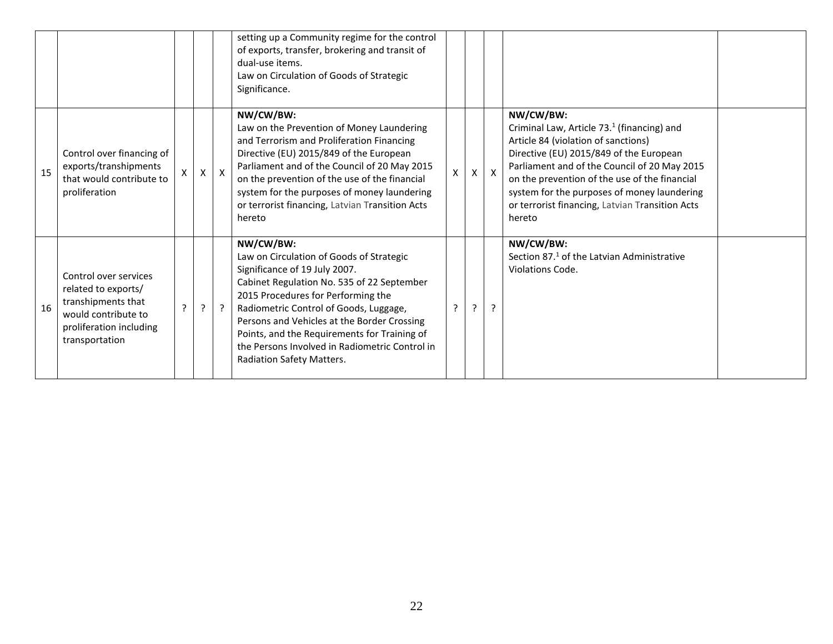|    |                                                                                                                                        |   |   |              | setting up a Community regime for the control<br>of exports, transfer, brokering and transit of<br>dual-use items.<br>Law on Circulation of Goods of Strategic<br>Significance.                                                                                                                                                                                                                    |   |   |              |                                                                                                                                                                                                                                                                                                                                                                    |  |
|----|----------------------------------------------------------------------------------------------------------------------------------------|---|---|--------------|----------------------------------------------------------------------------------------------------------------------------------------------------------------------------------------------------------------------------------------------------------------------------------------------------------------------------------------------------------------------------------------------------|---|---|--------------|--------------------------------------------------------------------------------------------------------------------------------------------------------------------------------------------------------------------------------------------------------------------------------------------------------------------------------------------------------------------|--|
| 15 | Control over financing of<br>exports/transhipments<br>that would contribute to<br>proliferation                                        | X | X | $\mathsf{X}$ | NW/CW/BW:<br>Law on the Prevention of Money Laundering<br>and Terrorism and Proliferation Financing<br>Directive (EU) 2015/849 of the European<br>Parliament and of the Council of 20 May 2015<br>on the prevention of the use of the financial<br>system for the purposes of money laundering<br>or terrorist financing, Latvian Transition Acts<br>hereto                                        | X | x | $\mathsf{X}$ | NW/CW/BW:<br>Criminal Law, Article 73. <sup>1</sup> (financing) and<br>Article 84 (violation of sanctions)<br>Directive (EU) 2015/849 of the European<br>Parliament and of the Council of 20 May 2015<br>on the prevention of the use of the financial<br>system for the purposes of money laundering<br>or terrorist financing, Latvian Transition Acts<br>hereto |  |
| 16 | Control over services<br>related to exports/<br>transhipments that<br>would contribute to<br>proliferation including<br>transportation | ς | ? | $\cdot$      | NW/CW/BW:<br>Law on Circulation of Goods of Strategic<br>Significance of 19 July 2007.<br>Cabinet Regulation No. 535 of 22 September<br>2015 Procedures for Performing the<br>Radiometric Control of Goods, Luggage,<br>Persons and Vehicles at the Border Crossing<br>Points, and the Requirements for Training of<br>the Persons Involved in Radiometric Control in<br>Radiation Safety Matters. | ? | ? | <sup>?</sup> | NW/CW/BW:<br>Section 87. <sup>1</sup> of the Latvian Administrative<br>Violations Code.                                                                                                                                                                                                                                                                            |  |